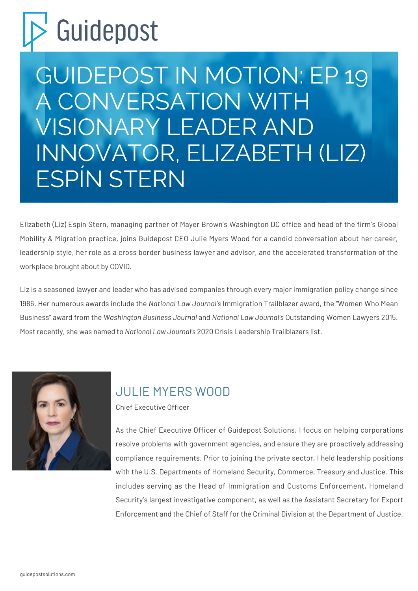## Guidepost

GUIDEPOST IN MOTION: EP 19 A CONVERSATION WITH VISIONARY LEADER AND INNOVATOR, ELIZABETH (LIZ) ESPÍN STERN

Elizabeth (Liz) Espín Stern, managing partner of Mayer Brown's Washington DC office and head of the firm's Global Mobility & Migration practice, joins Guidepost CEO Julie Myers Wood for a candid conversation about her career, leadership style, her role as a cross border business lawyer and advisor, and the accelerated transformation of the workplace brought about by COVID.

Liz is a seasoned lawyer and leader who has advised companies through every major immigration policy change since 1986. Her numerous awards include the *National Law Journal's* Immigration Trailblazer award, the "Women Who Mean Business" award from the *Washington Business Journal* and *National Law Journal's* Outstanding Women Lawyers 2015. Most recently, she was named to *National Law Journal's* 2020 Crisis Leadership Trailblazers list.



## [JULIE MYERS WOOD](https://guidepostsolutions.com/our-people/julie-myers-wood/)

Chief Executive Officer

As the Chief Executive Officer of Guidepost Solutions, I focus on helping corporations resolve problems with government agencies, and ensure they are proactively addressing compliance requirements. Prior to joining the private sector, I held leadership positions with the U.S. Departments of Homeland Security, Commerce, Treasury and Justice. This includes serving as the Head of Immigration and Customs Enforcement, Homeland Security's largest investigative component, as well as the Assistant Secretary for Export Enforcement and the Chief of Staff for the Criminal Division at the Department of Justice.